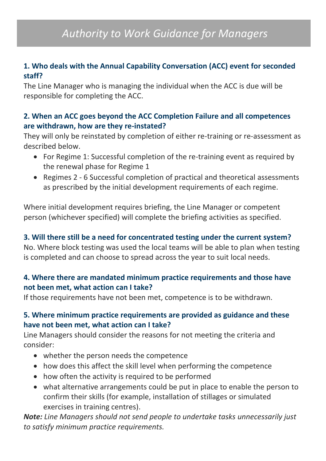# **1. Who deals with the Annual Capability Conversation (ACC) event for seconded staff?**

The Line Manager who is managing the individual when the ACC is due will be responsible for completing the ACC.

## **2. When an ACC goes beyond the ACC Completion Failure and all competences are withdrawn, how are they re-instated?**

They will only be reinstated by completion of either re-training or re-assessment as described below.

- For Regime 1: Successful completion of the re-training event as required by the renewal phase for Regime 1
- Regimes 2 6 Successful completion of practical and theoretical assessments as prescribed by the initial development requirements of each regime.

Where initial development requires briefing, the Line Manager or competent person (whichever specified) will complete the briefing activities as specified.

# **3. Will there still be a need for concentrated testing under the current system?**

No. Where block testing was used the local teams will be able to plan when testing is completed and can choose to spread across the year to suit local needs.

## **4. Where there are mandated minimum practice requirements and those have not been met, what action can I take?**

If those requirements have not been met, competence is to be withdrawn.

# **5. Where minimum practice requirements are provided as guidance and these have not been met, what action can I take?**

Line Managers should consider the reasons for not meeting the criteria and consider:

- whether the person needs the competence
- how does this affect the skill level when performing the competence
- how often the activity is required to be performed
- what alternative arrangements could be put in place to enable the person to confirm their skills (for example, installation of stillages or simulated exercises in training centres).

*Note: Line Managers should not send people to undertake tasks unnecessarily just to satisfy minimum practice requirements.*